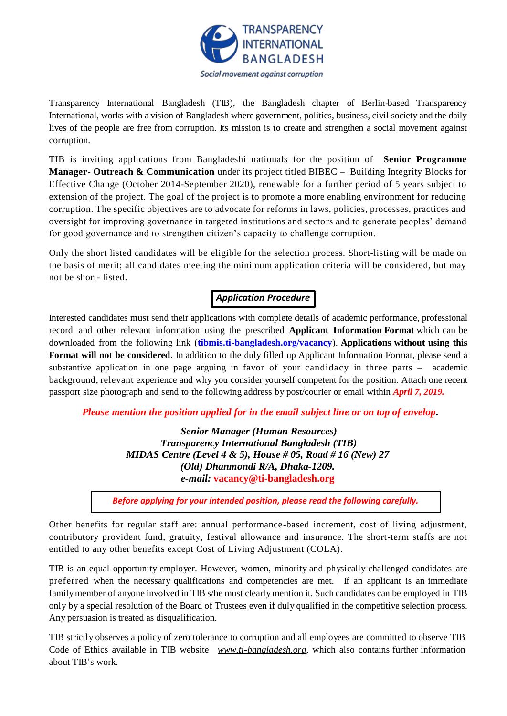

Transparency International Bangladesh (TIB), the Bangladesh chapter of Berlin-based Transparency International, works with a vision of Bangladesh where government, politics, business, civil society and the daily lives of the people are free from corruption. Its mission is to create and strengthen a social movement against corruption.

TIB is inviting applications from Bangladeshi nationals for the position of **Senior Programme Manager- Outreach & Communication** under its project titled BIBEC – Building Integrity Blocks for Effective Change (October 2014-September 2020), renewable for a further period of 5 years subject to extension of the project. The goal of the project is to promote a more enabling environment for reducing corruption. The specific objectives are to advocate for reforms in laws, policies, processes, practices and oversight for improving governance in targeted institutions and sectors and to generate peoples' demand for good governance and to strengthen citizen's capacity to challenge corruption.

Only the short listed candidates will be eligible for the selection process. Short-listing will be made on the basis of merit; all candidates meeting the minimum application criteria will be considered, but may not be short- listed.

# *Application Procedure*

Interested candidates must send their applications with complete details of academic performance, professional record and other relevant information using the prescribed **Applicant Information Format** which can be downloaded from the following link (**[tibmis.ti-bangladesh.org/vacancy](http://www.ti-bangladesh.org/vacancy)**). **Applications without using this Format will not be considered**. In addition to the duly filled up Applicant Information Format, please send a substantive application in one page arguing in favor of your candidacy in three parts – academic background, relevant experience and why you consider yourself competent for the position. Attach one recent passport size photograph and send to the following address by post/courier or email within *April 7, 2019.*

*Please mention the position applied for in the email subject line or on top of envelop***.**

*Senior Manager (Human Resources) Transparency International Bangladesh (TIB) MIDAS Centre (Level 4 & 5), House # 05, Road # 16 (New) 27 (Old) Dhanmondi R/A, Dhaka-1209. e-mail:* **vacancy@ti-bangladesh.org**

*Before applying for your intended position, please read the following carefully.*

Other benefits for regular staff are: annual performance-based increment, cost of living adjustment, contributory provident fund, gratuity, festival allowance and insurance. The short-term staffs are not entitled to any other benefits except Cost of Living Adjustment (COLA).

TIB is an equal opportunity employer. However, women, minority and physically challenged candidates are preferred when the necessary qualifications and competencies are met. If an applicant is an immediate family member of anyone involved in TIB s/he must clearly mention it. Such candidates can be employed in TIB only by a special resolution of the Board of Trustees even if duly qualified in the competitive selection process. Any persuasion is treated as disqualification.

TIB strictly observes a policy of zero tolerance to corruption and all employees are committed to observe TIB Code of Ethics available in TIB website *[www.ti-bangladesh.org](http://www.ti-bangladesh.org/)*, which also contains further information about TIB's work.